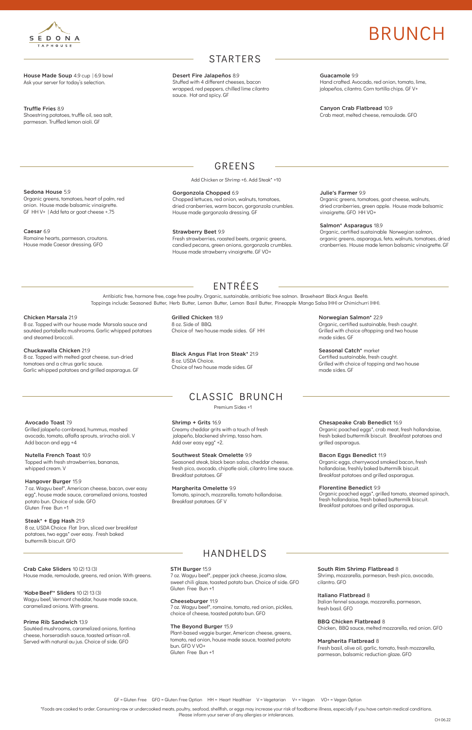House Made Soup 4.9 cup | 6.9 bowl Ask your server for today's selection.

Truffle Fries 8.9 Shoestring potatoes, truffle oil, sea salt, parmesan. Truffled lemon aioli. GF

### **STARTERS**

### GREENS

Add Chicken or Shrimp +6. Add Steak\* +10

Guacamole 9.9 Hand crafted. Avocado, red onion, tomato, lime, jalapeños, cilantro. Corn tortilla chips. GF V+

Canyon Crab Flatbread 10.9 Crab meat, melted cheese, remoulade. GFO

### Sedona House 5.9

Organic greens, tomatoes, heart of palm, red onion. House made balsamic vinaigrette. GF HH V+ | Add feta or goat cheese +.75

#### Caesar 6.9

Romaine hearts, parmesan, croutons. House made Caesar dressing. GFO

#### Julie's Farmer 9.9

Organic greens, tomatoes, goat cheese, walnuts, dried cranberries, green apple. House made balsamic vinaigrette. GFO HH VO+

#### Salmon\* Asparagus 18.9

Organic, certified sustainable Norwegian salmon, organic greens, asparagus, feta, walnuts, tomatoes, dried cranberries. House made lemon balsamic vinaigrette. GF



# BRUNCH

Desert Fire Jalapeños 8.9 Stuffed with 4 different cheeses, bacon wrapped, red peppers, chilled lime cilantro sauce. Hot and spicy. GF

#### Gorgonzola Chopped 6.9

Chopped lettuces, red onion, walnuts, tomatoes, dried cranberries, warm bacon, gorgonzola crumbles. House made gorgonzola dressing. GF

> Seasonal Catch\* market Certified sustainable, fresh caught.

#### Strawberry Beet 9.9

Fresh strawberries, roasted beets, organic greens, candied pecans, green onions, gorgonzola crumbles. House made strawberry vinaigrette. GF VO+

\*Foods are cooked to order. Consuming raw or undercooked meats, poultry, seafood, shellfish, or eggs may increase your risk of foodborne illness, especially if you have certain medical conditions. Please inform your server of any allergies or intolerances.

GF = Gluten Free GFO = Gluten Free Option HH = Heart Healthier V = Vegetarian V+ = Vegan VO+ = Vegan Option

Antibiotic free, hormone free, cage free poultry. Organic, sustainable, antibiotic free salmon. Braveheart Black Angus Beef®. Toppings include: Seasoned Butter, Herb Butter, Lemon Butter, Lemon Basil Butter, Pineapple Mango Salsa (HH) or Chimichurri (HH).

## ENTRÉES

#### Chicken Marsala 21.9

8 oz. Topped with our house made Marsala sauce and sautéed portabella mushrooms. Garlic whipped potatoes and steamed broccoli.

#### Chuckawalla Chicken 21.9

8 oz. Topped with melted goat cheese, sun-dried tomatoes and a citrus garlic sauce. Garlic whipped potatoes and grilled asparagus. GF

> Creamy cheddar grits with a touch of fresh jalapeño, blackened shrimp, tasso ham. Add over easy egg<sup>\*</sup> +2.

Norwegian Salmon\* 22.9

Organic, certified sustainable, fresh caught. Grilled with choice oftopping and two house

made sides. GF

Grilled with choice of topping and two house

made sides. GF

Grilled Chicken 18.9 8 oz. Side of BBQ. Choice of two house made sides. GF HH

8 oz. USDA Choice.

Black Angus Flat Iron Steak\* 21.9 Choice of two house made sides. GF

### CLASSIC BRUNCH

### HANDHELDS

Avocado Toast 7.9

Grilled jalapeño cornbread, hummus, mashed avocado, tomato, alfalfa sprouts, sriracha aioli. V

Add bacon and egg +4

Nutella French Toast 10.9

Topped with fresh strawberries, bananas,

whipped cream. V

Hangover Burger 15.9

7 oz. Wagyu beef\*, American cheese, bacon, over easy egg\*, house made sauce, caramelized onions, toasted

potato bun. Choice of side. GFO

Gluten Free Bun +1

#### Steak\* + Egg Hash 21.9

8 oz, USDA Choice Flat Iron, sliced over breakfast potatoes, two eggs\* over easy. Fresh baked

Crab Cake Sliders 10 (2) 13 (3) House made, remoulade, greens, red onion. With greens.

'Kobe Beef'\* Sliders 10 (2) 13 (3) Wagyu beef, Vermont cheddar, house made sauce, caramelized onions. With greens.

#### Prime Rib Sandwich 13.9

Sautéed mushrooms, caramelized onions, fontina cheese, horseradish sauce, toasted artisan roll. Served with natural au jus. Choice of side. GFO

#### Chesapeake Crab Benedict 16.9

Organic poached eggs\*, crab meat, fresh hollandaise, fresh baked buttermilk biscuit. Breakfast potatoes and grilled asparagus.

#### Bacon Eggs Benedict 11.9

Organic eggs, cherrywood smoked bacon, fresh hollandaise, freshly baked buttermilk biscuit. Breakfast potatoes and grilled asparagus.

#### Florentine Benedict 9.9

Organic poached eggs\*, grilled tomato, steamed spinach, fresh hollandaise, fresh baked buttermilk biscuit. Breakfast potatoes and grilled asparagus.

#### South Rim Shrimp Flatbread 8

Shrimp, mozzarella, parmesan, fresh pico, avocado, cilantro. GFO

#### Italiano Flatbread 8

Italian fennel sausage, mozzarella, parmesan, fresh basil. GFO

#### BBQ Chicken Flatbread 8

Chicken, BBQ sauce, melted mozzarella, red onion. GFO

#### Margherita Flatbread 8

Fresh basil, olive oil, garlic, tomato, fresh mozzarella, parmesan, balsamic reduction glaze. GFO

#### Shrimp + Grits 16.9

#### Southwest Steak Omelette 9.9

Seasoned steak, black bean salsa, cheddar cheese, fresh pico, avocado, chipotle aioli, cilantro lime sauce. Breakfast potatoes. GF

#### Margherita Omelette 9.9 Tomato, spinach, mozzarella, tomato hollandaise. Breakfast potatoes. GF V

#### STH Burger 15.9

7 oz. Wagyu beef\*, pepper jack cheese, jicama slaw, sweet chili glaze, toasted potato bun. Choice of side. GFO Gluten Free Bun +1

#### Cheeseburger 11.9

7 oz. Wagyu beef\*, romaine, tomato, red onion, pickles, choice of cheese, toasted potato bun. GFO

#### The Beyond Burger 15.9

Plant-based veggie burger, American cheese, greens, tomato, red onion, house made sauce, toasted potato bun. GFO V VO+ Gluten Free Bun +1

Premium Sides +1